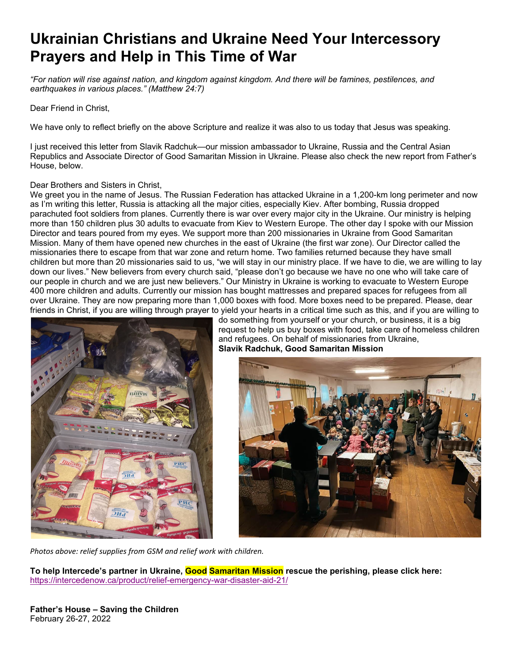# **Ukrainian Christians and Ukraine Need Your Intercessory Prayers and Help in This Time of War**

*"For nation will rise against nation, and kingdom against kingdom. And there will be famines, pestilences, and earthquakes in various places." (Matthew 24:7)* 

Dear Friend in Christ,

We have only to reflect briefly on the above Scripture and realize it was also to us today that Jesus was speaking.

I just received this letter from Slavik Radchuk—our mission ambassador to Ukraine, Russia and the Central Asian Republics and Associate Director of Good Samaritan Mission in Ukraine. Please also check the new report from Father's House, below.

#### Dear Brothers and Sisters in Christ,

We greet you in the name of Jesus. The Russian Federation has attacked Ukraine in a 1,200-km long perimeter and now as I'm writing this letter, Russia is attacking all the major cities, especially Kiev. After bombing, Russia dropped parachuted foot soldiers from planes. Currently there is war over every major city in the Ukraine. Our ministry is helping more than 150 children plus 30 adults to evacuate from Kiev to Western Europe. The other day I spoke with our Mission Director and tears poured from my eyes. We support more than 200 missionaries in Ukraine from Good Samaritan Mission. Many of them have opened new churches in the east of Ukraine (the first war zone). Our Director called the missionaries there to escape from that war zone and return home. Two families returned because they have small children but more than 20 missionaries said to us, "we will stay in our ministry place. If we have to die, we are willing to lay down our lives." New believers from every church said, "please don't go because we have no one who will take care of our people in church and we are just new believers." Our Ministry in Ukraine is working to evacuate to Western Europe 400 more children and adults. Currently our mission has bought mattresses and prepared spaces for refugees from all over Ukraine. They are now preparing more than 1,000 boxes with food. More boxes need to be prepared. Please, dear friends in Christ, if you are willing through prayer to yield your hearts in a critical time such as this, and if you are willing to



do something from yourself or your church, or business, it is a big request to help us buy boxes with food, take care of homeless children and refugees. On behalf of missionaries from Ukraine, **Slavik Radchuk, Good Samaritan Mission**



*Photos above: relief supplies from GSM and relief work with children.*

**To help Intercede's partner in Ukraine, Good Samaritan Mission rescue the perishing, please click here:** https://intercedenow.ca/product/relief-emergency-war-disaster-aid-21/

**Father's House – Saving the Children**  February 26-27, 2022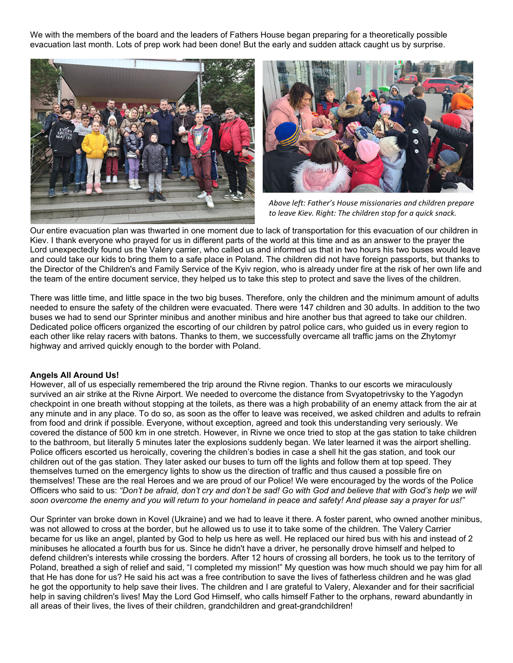We with the members of the board and the leaders of Fathers House began preparing for a theoretically possible evacuation last month. Lots of prep work had been done! But the early and sudden attack caught us by surprise.





*Above left: Father's House missionaries and children prepare to leave Kiev. Right: The children stop for a quick snack.*

Our entire evacuation plan was thwarted in one moment due to lack of transportation for this evacuation of our children in Kiev. I thank everyone who prayed for us in different parts of the world at this time and as an answer to the prayer the Lord unexpectedly found us the Valery carrier, who called us and informed us that in two hours his two buses would leave and could take our kids to bring them to a safe place in Poland. The children did not have foreign passports, but thanks to the Director of the Children's and Family Service of the Kyiv region, who is already under fire at the risk of her own life and the team of the entire document service, they helped us to take this step to protect and save the lives of the children.

There was little time, and little space in the two big buses. Therefore, only the children and the minimum amount of adults needed to ensure the safety of the children were evacuated. There were 147 children and 30 adults. In addition to the two buses we had to send our Sprinter minibus and another minibus and hire another bus that agreed to take our children. Dedicated police officers organized the escorting of our children by patrol police cars, who guided us in every region to each other like relay racers with batons. Thanks to them, we successfully overcame all traffic jams on the Zhytomyr highway and arrived quickly enough to the border with Poland.

## **Angels All Around Us!**

However, all of us especially remembered the trip around the Rivne region. Thanks to our escorts we miraculously survived an air strike at the Rivne Airport. We needed to overcome the distance from Svyatopetrivsky to the Yagodyn checkpoint in one breath without stopping at the toilets, as there was a high probability of an enemy attack from the air at any minute and in any place. To do so, as soon as the offer to leave was received, we asked children and adults to refrain from food and drink if possible. Everyone, without exception, agreed and took this understanding very seriously. We covered the distance of 500 km in one stretch. However, in Rivne we once tried to stop at the gas station to take children to the bathroom, but literally 5 minutes later the explosions suddenly began. We later learned it was the airport shelling. Police officers escorted us heroically, covering the children's bodies in case a shell hit the gas station, and took our children out of the gas station. They later asked our buses to turn off the lights and follow them at top speed. They themselves turned on the emergency lights to show us the direction of traffic and thus caused a possible fire on themselves! These are the real Heroes and we are proud of our Police! We were encouraged by the words of the Police Officers who said to us: *"Don't be afraid, don't cry and don't be sad! Go with God and believe that with God's help we will soon overcome the enemy and you will return to your homeland in peace and safety! And please say a prayer for us!"* 

Our Sprinter van broke down in Kovel (Ukraine) and we had to leave it there. A foster parent, who owned another minibus, was not allowed to cross at the border, but he allowed us to use it to take some of the children. The Valery Carrier became for us like an angel, planted by God to help us here as well. He replaced our hired bus with his and instead of 2 minibuses he allocated a fourth bus for us. Since he didn't have a driver, he personally drove himself and helped to defend children's interests while crossing the borders. After 12 hours of crossing all borders, he took us to the territory of Poland, breathed a sigh of relief and said, "I completed my mission!" My question was how much should we pay him for all that He has done for us? He said his act was a free contribution to save the lives of fatherless children and he was glad he got the opportunity to help save their lives. The children and I are grateful to Valery, Alexander and for their sacrificial help in saving children's lives! May the Lord God Himself, who calls himself Father to the orphans, reward abundantly in all areas of their lives, the lives of their children, grandchildren and great-grandchildren!